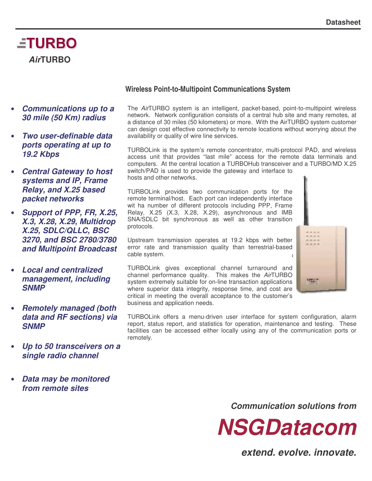# **ETURBO** *Air***TURBO**

- *Communications up to a 30 mile (50 Km) radius*
- *Two user-definable data ports operating at up to 19.2 Kbps*
- *Central Gateway to host systems and IP, Frame Relay, and X.25 based packet networks*
- *Support of PPP, FR, X.25, X.3, X.28, X.29, Multidrop X.25, SDLC/QLLC, BSC 3270, and BSC 2780/3780 and Multipoint Broadcast*
- *Local and centralized management, including SNMP*
- *Remotely managed (both data and RF sections) via SNMP*
- *Up to 50 transceivers on a single radio channel*
- *Data may be monitored from remote sites*

#### **Wireless Point-to-Multipoint Communications System**

The *Air*TURBO system is an intelligent, packet-based, point-to-multipoint wireless network. Network configuration consists of a central hub site and many remotes, at a distance of 30 miles (50 kilometers) or more. With the AirTURBO system customer can design cost effective connectivity to remote locations without worrying about the availability or quality of wire line services.

TURBOLink is the system's remote concentrator, multi-protocol PAD, and wireless access unit that provides "last mile" access for the remote data terminals and computers. At the central location a TURBOHub transceiver and a TURBO/MD X.25 switch/PAD is used to provide the gateway and interface to hosts and other networks.

TURBOLink provides two communication ports for the remote terminal/host. Each port can independently interface wit ha number of different protocols including PPP, Frame Relay, X.25 (X.3, X.28, X.29), asynchronous and IMB SNA/SDLC bit synchronous as well as other transition protocols.

Upstream transmission operates at 19.2 kbps with better error rate and transmission quality than terrestrial-based cable system.

TURBOLink gives exceptional channel turnaround and channel performance quality. This makes the *Air*TURBO system extremely suitable for on-line transaction applications where superior data integrity, response time, and cost are critical in meeting the overall acceptance to the customer's business and application needs.



TURBOLink offers a menu-driven user interface for system configuration, alarm report, status report, and statistics for operation, maintenance and testing. These facilities can be accessed either locally using any of the communication ports or remotely.

*Communication solutions from*

*NSGDatacom*

*extend. evolve. innovate.*